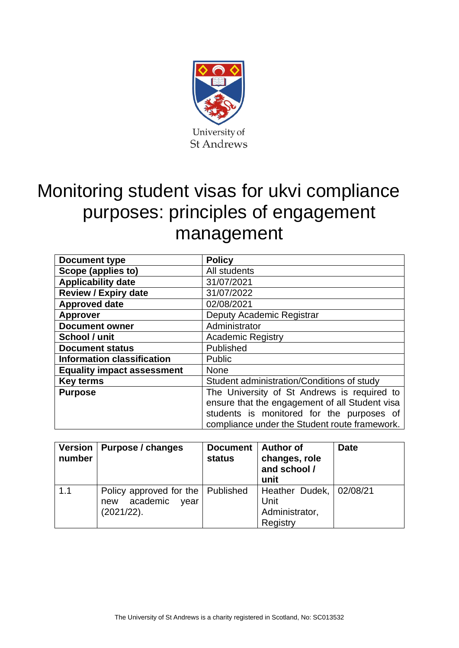

# Monitoring student visas for ukvi compliance purposes: principles of engagement management

| Document type                     | <b>Policy</b>                                                                                                                                                                               |  |  |  |
|-----------------------------------|---------------------------------------------------------------------------------------------------------------------------------------------------------------------------------------------|--|--|--|
| Scope (applies to)                | All students                                                                                                                                                                                |  |  |  |
| <b>Applicability date</b>         | 31/07/2021                                                                                                                                                                                  |  |  |  |
| <b>Review / Expiry date</b>       | 31/07/2022                                                                                                                                                                                  |  |  |  |
| <b>Approved date</b>              | 02/08/2021                                                                                                                                                                                  |  |  |  |
| <b>Approver</b>                   | Deputy Academic Registrar                                                                                                                                                                   |  |  |  |
| <b>Document owner</b>             | Administrator                                                                                                                                                                               |  |  |  |
| School / unit                     | <b>Academic Registry</b>                                                                                                                                                                    |  |  |  |
| <b>Document status</b>            | Published                                                                                                                                                                                   |  |  |  |
| <b>Information classification</b> | <b>Public</b>                                                                                                                                                                               |  |  |  |
| <b>Equality impact assessment</b> | <b>None</b>                                                                                                                                                                                 |  |  |  |
| <b>Key terms</b>                  | Student administration/Conditions of study                                                                                                                                                  |  |  |  |
| <b>Purpose</b>                    | The University of St Andrews is required to<br>ensure that the engagement of all Student visa<br>students is monitored for the purposes of<br>compliance under the Student route framework. |  |  |  |

| Version  <br>number | Purpose / changes                                                            | <b>Document</b><br>status | <b>Author of</b><br>changes, role<br>and school /<br>unit     | <b>Date</b> |
|---------------------|------------------------------------------------------------------------------|---------------------------|---------------------------------------------------------------|-------------|
| 1.1                 | Policy approved for the   Published<br>academic<br>new<br>vear<br>(2021/22). |                           | Heather Dudek, 02/08/21<br>Unit<br>Administrator,<br>Registry |             |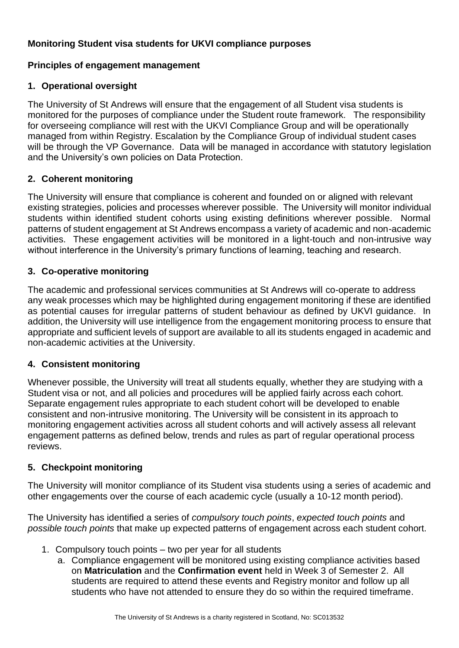## **Monitoring Student visa students for UKVI compliance purposes**

## **Principles of engagement management**

### **1. Operational oversight**

The University of St Andrews will ensure that the engagement of all Student visa students is monitored for the purposes of compliance under the Student route framework. The responsibility for overseeing compliance will rest with the UKVI Compliance Group and will be operationally managed from within Registry. Escalation by the Compliance Group of individual student cases will be through the VP Governance. Data will be managed in accordance with statutory legislation and the University's own policies on Data Protection.

#### **2. Coherent monitoring**

The University will ensure that compliance is coherent and founded on or aligned with relevant existing strategies, policies and processes wherever possible. The University will monitor individual students within identified student cohorts using existing definitions wherever possible. Normal patterns of student engagement at St Andrews encompass a variety of academic and non-academic activities. These engagement activities will be monitored in a light-touch and non-intrusive way without interference in the University's primary functions of learning, teaching and research.

#### **3. Co-operative monitoring**

The academic and professional services communities at St Andrews will co-operate to address any weak processes which may be highlighted during engagement monitoring if these are identified as potential causes for irregular patterns of student behaviour as defined by UKVI guidance. In addition, the University will use intelligence from the engagement monitoring process to ensure that appropriate and sufficient levels of support are available to all its students engaged in academic and non-academic activities at the University.

## **4. Consistent monitoring**

Whenever possible, the University will treat all students equally, whether they are studying with a Student visa or not, and all policies and procedures will be applied fairly across each cohort. Separate engagement rules appropriate to each student cohort will be developed to enable consistent and non-intrusive monitoring. The University will be consistent in its approach to monitoring engagement activities across all student cohorts and will actively assess all relevant engagement patterns as defined below, trends and rules as part of regular operational process reviews.

## **5. Checkpoint monitoring**

The University will monitor compliance of its Student visa students using a series of academic and other engagements over the course of each academic cycle (usually a 10-12 month period).

The University has identified a series of *compulsory touch points*, *expected touch points* and *possible touch points* that make up expected patterns of engagement across each student cohort.

- 1. Compulsory touch points two per year for all students
	- a. Compliance engagement will be monitored using existing compliance activities based on **Matriculation** and the **Confirmation event** held in Week 3 of Semester 2. All students are required to attend these events and Registry monitor and follow up all students who have not attended to ensure they do so within the required timeframe.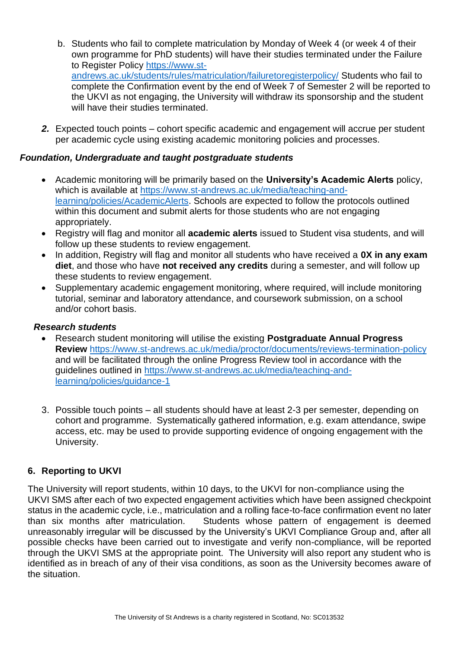- b. Students who fail to complete matriculation by Monday of Week 4 (or week 4 of their own programme for PhD students) will have their studies terminated under the Failure to Register Policy [https://www.st](https://www.st-andrews.ac.uk/students/rules/matriculation/failuretoregisterpolicy/)[andrews.ac.uk/students/rules/matriculation/failuretoregisterpolicy/](https://www.st-andrews.ac.uk/students/rules/matriculation/failuretoregisterpolicy/) Students who fail to complete the Confirmation event by the end of Week 7 of Semester 2 will be reported to the UKVI as not engaging, the University will withdraw its sponsorship and the student will have their studies terminated.
- *2.* Expected touch points cohort specific academic and engagement will accrue per student per academic cycle using existing academic monitoring policies and processes.

#### *Foundation, Undergraduate and taught postgraduate students*

- Academic monitoring will be primarily based on the **University's Academic Alerts** policy, which is available at [https://www.st-andrews.ac.uk/media/teaching-and](https://www.st-andrews.ac.uk/media/teaching-and-learning/policies/AcademicAlerts)[learning/policies/AcademicAlerts.](https://www.st-andrews.ac.uk/media/teaching-and-learning/policies/AcademicAlerts) Schools are expected to follow the protocols outlined within this document and submit alerts for those students who are not engaging appropriately.
- Registry will flag and monitor all **academic alerts** issued to Student visa students, and will follow up these students to review engagement.
- In addition, Registry will flag and monitor all students who have received a **0X in any exam diet**, and those who have **not received any credits** during a semester, and will follow up these students to review engagement.
- Supplementary academic engagement monitoring, where required, will include monitoring tutorial, seminar and laboratory attendance, and coursework submission, on a school and/or cohort basis.

#### *Research students*

- Research student monitoring will utilise the existing **Postgraduate Annual Progress Review** <https://www.st-andrews.ac.uk/media/proctor/documents/reviews-termination-policy> and will be facilitated through the online Progress Review tool in accordance with the guidelines outlined in [https://www.st-andrews.ac.uk/media/teaching-and](https://www.st-andrews.ac.uk/media/teaching-and-learning/policies/guidance-1)[learning/policies/guidance-1](https://www.st-andrews.ac.uk/media/teaching-and-learning/policies/guidance-1)
- 3. Possible touch points all students should have at least 2-3 per semester, depending on cohort and programme. Systematically gathered information, e.g. exam attendance, swipe access, etc. may be used to provide supporting evidence of ongoing engagement with the University.

## **6. Reporting to UKVI**

The University will report students, within 10 days, to the UKVI for non-compliance using the UKVI SMS after each of two expected engagement activities which have been assigned checkpoint status in the academic cycle, i.e., matriculation and a rolling face-to-face confirmation event no later than six months after matriculation. Students whose pattern of engagement is deemed unreasonably irregular will be discussed by the University's UKVI Compliance Group and, after all possible checks have been carried out to investigate and verify non-compliance, will be reported through the UKVI SMS at the appropriate point. The University will also report any student who is identified as in breach of any of their visa conditions, as soon as the University becomes aware of the situation.